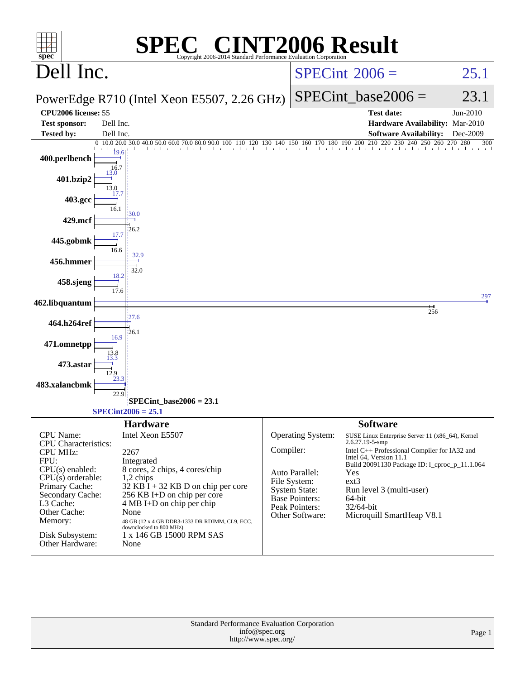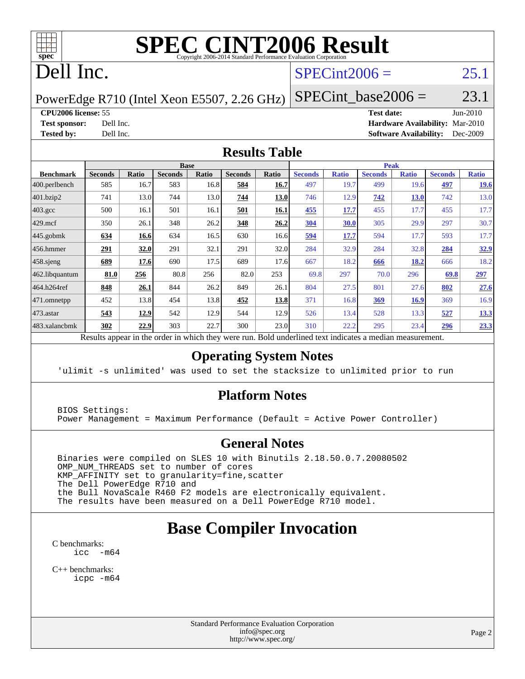

# **[SPEC CINT2006 Result](http://www.spec.org/auto/cpu2006/Docs/result-fields.html#SPECCINT2006Result)**

# Dell Inc.

#### $SPECint2006 =$  25.1

PowerEdge R710 (Intel Xeon E5507, 2.26 GHz)  $SPECTnt\_base2006 = 23.1$ 

**[CPU2006 license:](http://www.spec.org/auto/cpu2006/Docs/result-fields.html#CPU2006license)** 55 **[Test date:](http://www.spec.org/auto/cpu2006/Docs/result-fields.html#Testdate)** Jun-2010 **[Test sponsor:](http://www.spec.org/auto/cpu2006/Docs/result-fields.html#Testsponsor)** Dell Inc. **[Hardware Availability:](http://www.spec.org/auto/cpu2006/Docs/result-fields.html#HardwareAvailability)** Mar-2010 **[Tested by:](http://www.spec.org/auto/cpu2006/Docs/result-fields.html#Testedby)** Dell Inc. **[Software Availability:](http://www.spec.org/auto/cpu2006/Docs/result-fields.html#SoftwareAvailability)** Dec-2009

#### **[Results Table](http://www.spec.org/auto/cpu2006/Docs/result-fields.html#ResultsTable)**

|                    |                |       |                | <b>Base</b>  |                |              |                |              | <b>Peak</b>    |              |                |              |
|--------------------|----------------|-------|----------------|--------------|----------------|--------------|----------------|--------------|----------------|--------------|----------------|--------------|
| <b>Benchmark</b>   | <b>Seconds</b> | Ratio | <b>Seconds</b> | <b>Ratio</b> | <b>Seconds</b> | <b>Ratio</b> | <b>Seconds</b> | <b>Ratio</b> | <b>Seconds</b> | <b>Ratio</b> | <b>Seconds</b> | <b>Ratio</b> |
| 400.perlbench      | 585            | 16.7  | 583            | 16.8         | 584            | 16.7         | 497            | 19.7         | 499            | 19.6         | 497            | <u>19.6</u>  |
| 401.bzip2          | 741            | 13.0  | 744            | 13.0         | 744            | 13.0         | 746            | 12.9         | 742            | <b>13.0</b>  | 742            | 13.0         |
| $403.\mathrm{gcc}$ | 500            | 16.1  | 501            | 16.1         | 501            | <u>16.1</u>  | 455            | 17.7         | 455            | 17.7         | 455            | 17.7         |
| $429$ .mcf         | 350            | 26.1  | 348            | 26.2         | 348            | 26.2         | <b>304</b>     | <b>30.0</b>  | 305            | 29.9         | 297            | 30.7         |
| $445$ .gobmk       | 634            | 16.6  | 634            | 16.5         | 630            | 16.6         | 594            | 17.7         | 594            | 17.7         | 593            | 17.7         |
| $456.$ hmmer       | 291            | 32.0  | 291            | 32.1         | 291            | 32.0         | 284            | 32.9         | 284            | 32.8         | 284            | 32.9         |
| $458$ .sjeng       | 689            | 17.6  | 690            | 17.5         | 689            | 17.6         | 667            | 18.2         | 666            | 18.2         | 666            | 18.2         |
| 462.libquantum     | 81.0           | 256   | 80.8           | 256          | 82.0           | 253          | 69.8           | 297          | 70.0           | 296          | 69.8           | 297          |
| 464.h264ref        | 848            | 26.1  | 844            | 26.2         | 849            | 26.1         | 804            | 27.5         | 801            | 27.6         | 802            | 27.6         |
| 471.omnetpp        | 452            | 13.8  | 454            | 13.8         | 452            | <u>13.8</u>  | 371            | 16.8         | <u>369</u>     | 16.9         | 369            | 16.9         |
| $473$ . astar      | 543            | 12.9  | 542            | 12.9         | 544            | 12.9         | 526            | 13.4         | 528            | 13.3         | 527            | 13.3         |
| 483.xalancbmk      | 302            | 22.9  | 303            | 22.7         | 300            | 23.0         | 310            | 22.2         | 295            | 23.4         | 296            | 23.3         |

Results appear in the [order in which they were run.](http://www.spec.org/auto/cpu2006/Docs/result-fields.html#RunOrder) Bold underlined text [indicates a median measurement.](http://www.spec.org/auto/cpu2006/Docs/result-fields.html#Median)

#### **[Operating System Notes](http://www.spec.org/auto/cpu2006/Docs/result-fields.html#OperatingSystemNotes)**

'ulimit -s unlimited' was used to set the stacksize to unlimited prior to run

#### **[Platform Notes](http://www.spec.org/auto/cpu2006/Docs/result-fields.html#PlatformNotes)**

 BIOS Settings: Power Management = Maximum Performance (Default = Active Power Controller)

#### **[General Notes](http://www.spec.org/auto/cpu2006/Docs/result-fields.html#GeneralNotes)**

 Binaries were compiled on SLES 10 with Binutils 2.18.50.0.7.20080502 OMP\_NUM\_THREADS set to number of cores KMP\_AFFINITY set to granularity=fine,scatter The Dell PowerEdge R710 and the Bull NovaScale R460 F2 models are electronically equivalent. The results have been measured on a Dell PowerEdge R710 model.

## **[Base Compiler Invocation](http://www.spec.org/auto/cpu2006/Docs/result-fields.html#BaseCompilerInvocation)**

[C benchmarks](http://www.spec.org/auto/cpu2006/Docs/result-fields.html#Cbenchmarks): [icc -m64](http://www.spec.org/cpu2006/results/res2010q3/cpu2006-20100702-12160.flags.html#user_CCbase_intel_icc_64bit_f346026e86af2a669e726fe758c88044)

[C++ benchmarks:](http://www.spec.org/auto/cpu2006/Docs/result-fields.html#CXXbenchmarks) [icpc -m64](http://www.spec.org/cpu2006/results/res2010q3/cpu2006-20100702-12160.flags.html#user_CXXbase_intel_icpc_64bit_fc66a5337ce925472a5c54ad6a0de310)

> Standard Performance Evaluation Corporation [info@spec.org](mailto:info@spec.org) <http://www.spec.org/>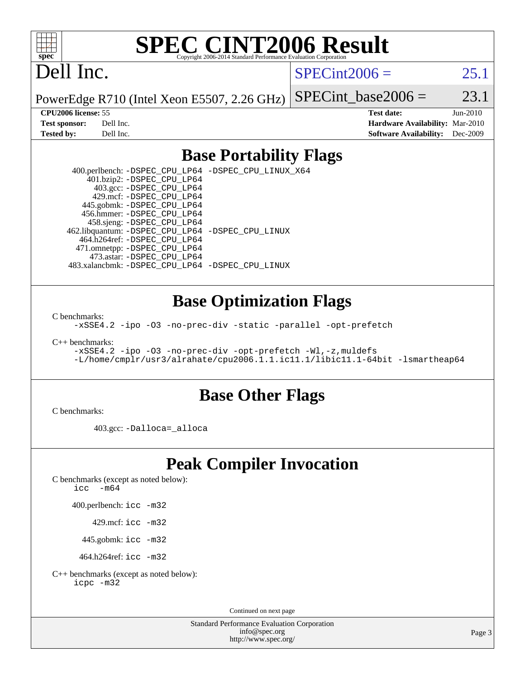

# **[SPEC CINT2006 Result](http://www.spec.org/auto/cpu2006/Docs/result-fields.html#SPECCINT2006Result)**

# Dell Inc.

 $SPECint2006 = 25.1$  $SPECint2006 = 25.1$ 

PowerEdge R710 (Intel Xeon E5507, 2.26 GHz) SPECint base2006 =  $23.1$ 

**[CPU2006 license:](http://www.spec.org/auto/cpu2006/Docs/result-fields.html#CPU2006license)** 55 **[Test date:](http://www.spec.org/auto/cpu2006/Docs/result-fields.html#Testdate)** Jun-2010 **[Test sponsor:](http://www.spec.org/auto/cpu2006/Docs/result-fields.html#Testsponsor)** Dell Inc. **[Hardware Availability:](http://www.spec.org/auto/cpu2006/Docs/result-fields.html#HardwareAvailability)** Mar-2010 **[Tested by:](http://www.spec.org/auto/cpu2006/Docs/result-fields.html#Testedby)** Dell Inc. **[Software Availability:](http://www.spec.org/auto/cpu2006/Docs/result-fields.html#SoftwareAvailability)** Dec-2009

#### **[Base Portability Flags](http://www.spec.org/auto/cpu2006/Docs/result-fields.html#BasePortabilityFlags)**

 400.perlbench: [-DSPEC\\_CPU\\_LP64](http://www.spec.org/cpu2006/results/res2010q3/cpu2006-20100702-12160.flags.html#b400.perlbench_basePORTABILITY_DSPEC_CPU_LP64) [-DSPEC\\_CPU\\_LINUX\\_X64](http://www.spec.org/cpu2006/results/res2010q3/cpu2006-20100702-12160.flags.html#b400.perlbench_baseCPORTABILITY_DSPEC_CPU_LINUX_X64) 401.bzip2: [-DSPEC\\_CPU\\_LP64](http://www.spec.org/cpu2006/results/res2010q3/cpu2006-20100702-12160.flags.html#suite_basePORTABILITY401_bzip2_DSPEC_CPU_LP64) 403.gcc: [-DSPEC\\_CPU\\_LP64](http://www.spec.org/cpu2006/results/res2010q3/cpu2006-20100702-12160.flags.html#suite_basePORTABILITY403_gcc_DSPEC_CPU_LP64) 429.mcf: [-DSPEC\\_CPU\\_LP64](http://www.spec.org/cpu2006/results/res2010q3/cpu2006-20100702-12160.flags.html#suite_basePORTABILITY429_mcf_DSPEC_CPU_LP64) 445.gobmk: [-DSPEC\\_CPU\\_LP64](http://www.spec.org/cpu2006/results/res2010q3/cpu2006-20100702-12160.flags.html#suite_basePORTABILITY445_gobmk_DSPEC_CPU_LP64) 456.hmmer: [-DSPEC\\_CPU\\_LP64](http://www.spec.org/cpu2006/results/res2010q3/cpu2006-20100702-12160.flags.html#suite_basePORTABILITY456_hmmer_DSPEC_CPU_LP64) 458.sjeng: [-DSPEC\\_CPU\\_LP64](http://www.spec.org/cpu2006/results/res2010q3/cpu2006-20100702-12160.flags.html#suite_basePORTABILITY458_sjeng_DSPEC_CPU_LP64) 462.libquantum: [-DSPEC\\_CPU\\_LP64](http://www.spec.org/cpu2006/results/res2010q3/cpu2006-20100702-12160.flags.html#suite_basePORTABILITY462_libquantum_DSPEC_CPU_LP64) [-DSPEC\\_CPU\\_LINUX](http://www.spec.org/cpu2006/results/res2010q3/cpu2006-20100702-12160.flags.html#b462.libquantum_baseCPORTABILITY_DSPEC_CPU_LINUX) 464.h264ref: [-DSPEC\\_CPU\\_LP64](http://www.spec.org/cpu2006/results/res2010q3/cpu2006-20100702-12160.flags.html#suite_basePORTABILITY464_h264ref_DSPEC_CPU_LP64) 471.omnetpp: [-DSPEC\\_CPU\\_LP64](http://www.spec.org/cpu2006/results/res2010q3/cpu2006-20100702-12160.flags.html#suite_basePORTABILITY471_omnetpp_DSPEC_CPU_LP64) 473.astar: [-DSPEC\\_CPU\\_LP64](http://www.spec.org/cpu2006/results/res2010q3/cpu2006-20100702-12160.flags.html#suite_basePORTABILITY473_astar_DSPEC_CPU_LP64) 483.xalancbmk: [-DSPEC\\_CPU\\_LP64](http://www.spec.org/cpu2006/results/res2010q3/cpu2006-20100702-12160.flags.html#suite_basePORTABILITY483_xalancbmk_DSPEC_CPU_LP64) [-DSPEC\\_CPU\\_LINUX](http://www.spec.org/cpu2006/results/res2010q3/cpu2006-20100702-12160.flags.html#b483.xalancbmk_baseCXXPORTABILITY_DSPEC_CPU_LINUX)

#### **[Base Optimization Flags](http://www.spec.org/auto/cpu2006/Docs/result-fields.html#BaseOptimizationFlags)**

[C benchmarks](http://www.spec.org/auto/cpu2006/Docs/result-fields.html#Cbenchmarks):

[-xSSE4.2](http://www.spec.org/cpu2006/results/res2010q3/cpu2006-20100702-12160.flags.html#user_CCbase_f-xSSE42_f91528193cf0b216347adb8b939d4107) [-ipo](http://www.spec.org/cpu2006/results/res2010q3/cpu2006-20100702-12160.flags.html#user_CCbase_f-ipo) [-O3](http://www.spec.org/cpu2006/results/res2010q3/cpu2006-20100702-12160.flags.html#user_CCbase_f-O3) [-no-prec-div](http://www.spec.org/cpu2006/results/res2010q3/cpu2006-20100702-12160.flags.html#user_CCbase_f-no-prec-div) [-static](http://www.spec.org/cpu2006/results/res2010q3/cpu2006-20100702-12160.flags.html#user_CCbase_f-static) [-parallel](http://www.spec.org/cpu2006/results/res2010q3/cpu2006-20100702-12160.flags.html#user_CCbase_f-parallel) [-opt-prefetch](http://www.spec.org/cpu2006/results/res2010q3/cpu2006-20100702-12160.flags.html#user_CCbase_f-opt-prefetch)

[C++ benchmarks:](http://www.spec.org/auto/cpu2006/Docs/result-fields.html#CXXbenchmarks)

[-xSSE4.2](http://www.spec.org/cpu2006/results/res2010q3/cpu2006-20100702-12160.flags.html#user_CXXbase_f-xSSE42_f91528193cf0b216347adb8b939d4107) [-ipo](http://www.spec.org/cpu2006/results/res2010q3/cpu2006-20100702-12160.flags.html#user_CXXbase_f-ipo) [-O3](http://www.spec.org/cpu2006/results/res2010q3/cpu2006-20100702-12160.flags.html#user_CXXbase_f-O3) [-no-prec-div](http://www.spec.org/cpu2006/results/res2010q3/cpu2006-20100702-12160.flags.html#user_CXXbase_f-no-prec-div) [-opt-prefetch](http://www.spec.org/cpu2006/results/res2010q3/cpu2006-20100702-12160.flags.html#user_CXXbase_f-opt-prefetch) [-Wl,-z,muldefs](http://www.spec.org/cpu2006/results/res2010q3/cpu2006-20100702-12160.flags.html#user_CXXbase_link_force_multiple1_74079c344b956b9658436fd1b6dd3a8a) [-L/home/cmplr/usr3/alrahate/cpu2006.1.1.ic11.1/libic11.1-64bit -lsmartheap64](http://www.spec.org/cpu2006/results/res2010q3/cpu2006-20100702-12160.flags.html#user_CXXbase_SmartHeap64_e2306cda84805d1ab360117a79ff779c)

#### **[Base Other Flags](http://www.spec.org/auto/cpu2006/Docs/result-fields.html#BaseOtherFlags)**

[C benchmarks](http://www.spec.org/auto/cpu2006/Docs/result-fields.html#Cbenchmarks):

403.gcc: [-Dalloca=\\_alloca](http://www.spec.org/cpu2006/results/res2010q3/cpu2006-20100702-12160.flags.html#b403.gcc_baseEXTRA_CFLAGS_Dalloca_be3056838c12de2578596ca5467af7f3)

## **[Peak Compiler Invocation](http://www.spec.org/auto/cpu2006/Docs/result-fields.html#PeakCompilerInvocation)**

[C benchmarks \(except as noted below\)](http://www.spec.org/auto/cpu2006/Docs/result-fields.html#Cbenchmarksexceptasnotedbelow):

icc  $-m64$ 

400.perlbench: [icc -m32](http://www.spec.org/cpu2006/results/res2010q3/cpu2006-20100702-12160.flags.html#user_peakCCLD400_perlbench_intel_icc_32bit_a6a621f8d50482236b970c6ac5f55f93)

429.mcf: [icc -m32](http://www.spec.org/cpu2006/results/res2010q3/cpu2006-20100702-12160.flags.html#user_peakCCLD429_mcf_intel_icc_32bit_a6a621f8d50482236b970c6ac5f55f93)

445.gobmk: [icc -m32](http://www.spec.org/cpu2006/results/res2010q3/cpu2006-20100702-12160.flags.html#user_peakCCLD445_gobmk_intel_icc_32bit_a6a621f8d50482236b970c6ac5f55f93)

464.h264ref: [icc -m32](http://www.spec.org/cpu2006/results/res2010q3/cpu2006-20100702-12160.flags.html#user_peakCCLD464_h264ref_intel_icc_32bit_a6a621f8d50482236b970c6ac5f55f93)

[C++ benchmarks \(except as noted below\):](http://www.spec.org/auto/cpu2006/Docs/result-fields.html#CXXbenchmarksexceptasnotedbelow) [icpc -m32](http://www.spec.org/cpu2006/results/res2010q3/cpu2006-20100702-12160.flags.html#user_CXXpeak_intel_icpc_32bit_4e5a5ef1a53fd332b3c49e69c3330699)

Continued on next page

Standard Performance Evaluation Corporation [info@spec.org](mailto:info@spec.org) <http://www.spec.org/>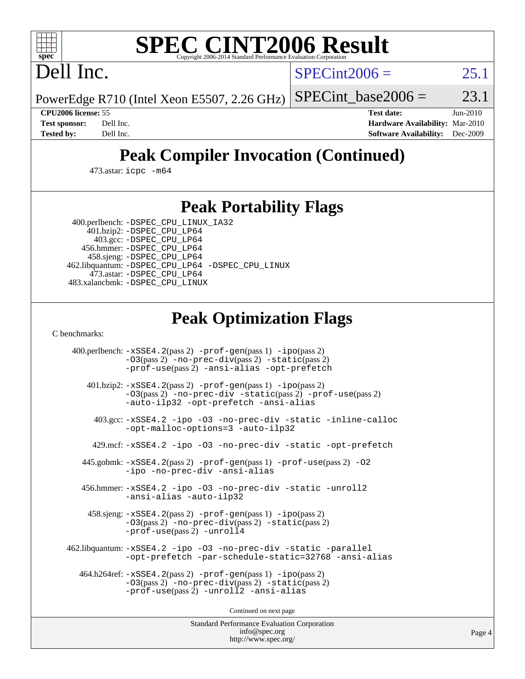

# **[SPEC CINT2006 Result](http://www.spec.org/auto/cpu2006/Docs/result-fields.html#SPECCINT2006Result)**

Dell Inc.

 $SPECint2006 = 25.1$  $SPECint2006 = 25.1$ 

PowerEdge R710 (Intel Xeon E5507, 2.26 GHz) SPECint base2006 =  $23.1$ 

**[CPU2006 license:](http://www.spec.org/auto/cpu2006/Docs/result-fields.html#CPU2006license)** 55 **[Test date:](http://www.spec.org/auto/cpu2006/Docs/result-fields.html#Testdate)** Jun-2010 **[Test sponsor:](http://www.spec.org/auto/cpu2006/Docs/result-fields.html#Testsponsor)** Dell Inc. **[Hardware Availability:](http://www.spec.org/auto/cpu2006/Docs/result-fields.html#HardwareAvailability)** Mar-2010 **[Tested by:](http://www.spec.org/auto/cpu2006/Docs/result-fields.html#Testedby)** Dell Inc. **[Software Availability:](http://www.spec.org/auto/cpu2006/Docs/result-fields.html#SoftwareAvailability)** Dec-2009

## **[Peak Compiler Invocation \(Continued\)](http://www.spec.org/auto/cpu2006/Docs/result-fields.html#PeakCompilerInvocation)**

473.astar: [icpc -m64](http://www.spec.org/cpu2006/results/res2010q3/cpu2006-20100702-12160.flags.html#user_peakCXXLD473_astar_intel_icpc_64bit_fc66a5337ce925472a5c54ad6a0de310)

#### **[Peak Portability Flags](http://www.spec.org/auto/cpu2006/Docs/result-fields.html#PeakPortabilityFlags)**

 400.perlbench: [-DSPEC\\_CPU\\_LINUX\\_IA32](http://www.spec.org/cpu2006/results/res2010q3/cpu2006-20100702-12160.flags.html#b400.perlbench_peakCPORTABILITY_DSPEC_CPU_LINUX_IA32) 401.bzip2: [-DSPEC\\_CPU\\_LP64](http://www.spec.org/cpu2006/results/res2010q3/cpu2006-20100702-12160.flags.html#suite_peakPORTABILITY401_bzip2_DSPEC_CPU_LP64)

 403.gcc: [-DSPEC\\_CPU\\_LP64](http://www.spec.org/cpu2006/results/res2010q3/cpu2006-20100702-12160.flags.html#suite_peakPORTABILITY403_gcc_DSPEC_CPU_LP64) 456.hmmer: [-DSPEC\\_CPU\\_LP64](http://www.spec.org/cpu2006/results/res2010q3/cpu2006-20100702-12160.flags.html#suite_peakPORTABILITY456_hmmer_DSPEC_CPU_LP64) 458.sjeng: [-DSPEC\\_CPU\\_LP64](http://www.spec.org/cpu2006/results/res2010q3/cpu2006-20100702-12160.flags.html#suite_peakPORTABILITY458_sjeng_DSPEC_CPU_LP64) 462.libquantum: [-DSPEC\\_CPU\\_LP64](http://www.spec.org/cpu2006/results/res2010q3/cpu2006-20100702-12160.flags.html#suite_peakPORTABILITY462_libquantum_DSPEC_CPU_LP64) [-DSPEC\\_CPU\\_LINUX](http://www.spec.org/cpu2006/results/res2010q3/cpu2006-20100702-12160.flags.html#b462.libquantum_peakCPORTABILITY_DSPEC_CPU_LINUX) 473.astar: [-DSPEC\\_CPU\\_LP64](http://www.spec.org/cpu2006/results/res2010q3/cpu2006-20100702-12160.flags.html#suite_peakPORTABILITY473_astar_DSPEC_CPU_LP64) 483.xalancbmk: [-DSPEC\\_CPU\\_LINUX](http://www.spec.org/cpu2006/results/res2010q3/cpu2006-20100702-12160.flags.html#b483.xalancbmk_peakCXXPORTABILITY_DSPEC_CPU_LINUX)

## **[Peak Optimization Flags](http://www.spec.org/auto/cpu2006/Docs/result-fields.html#PeakOptimizationFlags)**

[C benchmarks](http://www.spec.org/auto/cpu2006/Docs/result-fields.html#Cbenchmarks):

 400.perlbench: [-xSSE4.2](http://www.spec.org/cpu2006/results/res2010q3/cpu2006-20100702-12160.flags.html#user_peakPASS2_CFLAGSPASS2_LDCFLAGS400_perlbench_f-xSSE42_f91528193cf0b216347adb8b939d4107)(pass 2) [-prof-gen](http://www.spec.org/cpu2006/results/res2010q3/cpu2006-20100702-12160.flags.html#user_peakPASS1_CFLAGSPASS1_LDCFLAGS400_perlbench_prof_gen_e43856698f6ca7b7e442dfd80e94a8fc)(pass 1) [-ipo](http://www.spec.org/cpu2006/results/res2010q3/cpu2006-20100702-12160.flags.html#user_peakPASS2_CFLAGSPASS2_LDCFLAGS400_perlbench_f-ipo)(pass 2) [-O3](http://www.spec.org/cpu2006/results/res2010q3/cpu2006-20100702-12160.flags.html#user_peakPASS2_CFLAGSPASS2_LDCFLAGS400_perlbench_f-O3)(pass 2) [-no-prec-div](http://www.spec.org/cpu2006/results/res2010q3/cpu2006-20100702-12160.flags.html#user_peakPASS2_CFLAGSPASS2_LDCFLAGS400_perlbench_f-no-prec-div)(pass 2) [-static](http://www.spec.org/cpu2006/results/res2010q3/cpu2006-20100702-12160.flags.html#user_peakPASS2_CFLAGSPASS2_LDCFLAGS400_perlbench_f-static)(pass 2) [-prof-use](http://www.spec.org/cpu2006/results/res2010q3/cpu2006-20100702-12160.flags.html#user_peakPASS2_CFLAGSPASS2_LDCFLAGS400_perlbench_prof_use_bccf7792157ff70d64e32fe3e1250b55)(pass 2) [-ansi-alias](http://www.spec.org/cpu2006/results/res2010q3/cpu2006-20100702-12160.flags.html#user_peakCOPTIMIZE400_perlbench_f-ansi-alias) [-opt-prefetch](http://www.spec.org/cpu2006/results/res2010q3/cpu2006-20100702-12160.flags.html#user_peakCOPTIMIZE400_perlbench_f-opt-prefetch) 401.bzip2: [-xSSE4.2](http://www.spec.org/cpu2006/results/res2010q3/cpu2006-20100702-12160.flags.html#user_peakPASS2_CFLAGSPASS2_LDCFLAGS401_bzip2_f-xSSE42_f91528193cf0b216347adb8b939d4107)(pass 2) [-prof-gen](http://www.spec.org/cpu2006/results/res2010q3/cpu2006-20100702-12160.flags.html#user_peakPASS1_CFLAGSPASS1_LDCFLAGS401_bzip2_prof_gen_e43856698f6ca7b7e442dfd80e94a8fc)(pass 1) [-ipo](http://www.spec.org/cpu2006/results/res2010q3/cpu2006-20100702-12160.flags.html#user_peakPASS2_CFLAGSPASS2_LDCFLAGS401_bzip2_f-ipo)(pass 2) [-O3](http://www.spec.org/cpu2006/results/res2010q3/cpu2006-20100702-12160.flags.html#user_peakPASS2_CFLAGSPASS2_LDCFLAGS401_bzip2_f-O3)(pass 2) [-no-prec-div](http://www.spec.org/cpu2006/results/res2010q3/cpu2006-20100702-12160.flags.html#user_peakCOPTIMIZEPASS2_CFLAGSPASS2_LDCFLAGS401_bzip2_f-no-prec-div) [-static](http://www.spec.org/cpu2006/results/res2010q3/cpu2006-20100702-12160.flags.html#user_peakPASS2_CFLAGSPASS2_LDCFLAGS401_bzip2_f-static)(pass 2) [-prof-use](http://www.spec.org/cpu2006/results/res2010q3/cpu2006-20100702-12160.flags.html#user_peakPASS2_CFLAGSPASS2_LDCFLAGS401_bzip2_prof_use_bccf7792157ff70d64e32fe3e1250b55)(pass 2) [-auto-ilp32](http://www.spec.org/cpu2006/results/res2010q3/cpu2006-20100702-12160.flags.html#user_peakCOPTIMIZE401_bzip2_f-auto-ilp32) [-opt-prefetch](http://www.spec.org/cpu2006/results/res2010q3/cpu2006-20100702-12160.flags.html#user_peakCOPTIMIZE401_bzip2_f-opt-prefetch) [-ansi-alias](http://www.spec.org/cpu2006/results/res2010q3/cpu2006-20100702-12160.flags.html#user_peakCOPTIMIZE401_bzip2_f-ansi-alias) 403.gcc: [-xSSE4.2](http://www.spec.org/cpu2006/results/res2010q3/cpu2006-20100702-12160.flags.html#user_peakCOPTIMIZE403_gcc_f-xSSE42_f91528193cf0b216347adb8b939d4107) [-ipo](http://www.spec.org/cpu2006/results/res2010q3/cpu2006-20100702-12160.flags.html#user_peakCOPTIMIZE403_gcc_f-ipo) [-O3](http://www.spec.org/cpu2006/results/res2010q3/cpu2006-20100702-12160.flags.html#user_peakCOPTIMIZE403_gcc_f-O3) [-no-prec-div](http://www.spec.org/cpu2006/results/res2010q3/cpu2006-20100702-12160.flags.html#user_peakCOPTIMIZE403_gcc_f-no-prec-div) [-static](http://www.spec.org/cpu2006/results/res2010q3/cpu2006-20100702-12160.flags.html#user_peakCOPTIMIZE403_gcc_f-static) [-inline-calloc](http://www.spec.org/cpu2006/results/res2010q3/cpu2006-20100702-12160.flags.html#user_peakCOPTIMIZE403_gcc_f-inline-calloc) [-opt-malloc-options=3](http://www.spec.org/cpu2006/results/res2010q3/cpu2006-20100702-12160.flags.html#user_peakCOPTIMIZE403_gcc_f-opt-malloc-options_13ab9b803cf986b4ee62f0a5998c2238) [-auto-ilp32](http://www.spec.org/cpu2006/results/res2010q3/cpu2006-20100702-12160.flags.html#user_peakCOPTIMIZE403_gcc_f-auto-ilp32) 429.mcf: [-xSSE4.2](http://www.spec.org/cpu2006/results/res2010q3/cpu2006-20100702-12160.flags.html#user_peakCOPTIMIZE429_mcf_f-xSSE42_f91528193cf0b216347adb8b939d4107) [-ipo](http://www.spec.org/cpu2006/results/res2010q3/cpu2006-20100702-12160.flags.html#user_peakCOPTIMIZE429_mcf_f-ipo) [-O3](http://www.spec.org/cpu2006/results/res2010q3/cpu2006-20100702-12160.flags.html#user_peakCOPTIMIZE429_mcf_f-O3) [-no-prec-div](http://www.spec.org/cpu2006/results/res2010q3/cpu2006-20100702-12160.flags.html#user_peakCOPTIMIZE429_mcf_f-no-prec-div) [-static](http://www.spec.org/cpu2006/results/res2010q3/cpu2006-20100702-12160.flags.html#user_peakCOPTIMIZE429_mcf_f-static) [-opt-prefetch](http://www.spec.org/cpu2006/results/res2010q3/cpu2006-20100702-12160.flags.html#user_peakCOPTIMIZE429_mcf_f-opt-prefetch) 445.gobmk: [-xSSE4.2](http://www.spec.org/cpu2006/results/res2010q3/cpu2006-20100702-12160.flags.html#user_peakPASS2_CFLAGSPASS2_LDCFLAGS445_gobmk_f-xSSE42_f91528193cf0b216347adb8b939d4107)(pass 2) [-prof-gen](http://www.spec.org/cpu2006/results/res2010q3/cpu2006-20100702-12160.flags.html#user_peakPASS1_CFLAGSPASS1_LDCFLAGS445_gobmk_prof_gen_e43856698f6ca7b7e442dfd80e94a8fc)(pass 1) [-prof-use](http://www.spec.org/cpu2006/results/res2010q3/cpu2006-20100702-12160.flags.html#user_peakPASS2_CFLAGSPASS2_LDCFLAGS445_gobmk_prof_use_bccf7792157ff70d64e32fe3e1250b55)(pass 2) [-O2](http://www.spec.org/cpu2006/results/res2010q3/cpu2006-20100702-12160.flags.html#user_peakCOPTIMIZE445_gobmk_f-O2) [-ipo](http://www.spec.org/cpu2006/results/res2010q3/cpu2006-20100702-12160.flags.html#user_peakCOPTIMIZE445_gobmk_f-ipo) [-no-prec-div](http://www.spec.org/cpu2006/results/res2010q3/cpu2006-20100702-12160.flags.html#user_peakCOPTIMIZE445_gobmk_f-no-prec-div) [-ansi-alias](http://www.spec.org/cpu2006/results/res2010q3/cpu2006-20100702-12160.flags.html#user_peakCOPTIMIZE445_gobmk_f-ansi-alias) 456.hmmer: [-xSSE4.2](http://www.spec.org/cpu2006/results/res2010q3/cpu2006-20100702-12160.flags.html#user_peakCOPTIMIZE456_hmmer_f-xSSE42_f91528193cf0b216347adb8b939d4107) [-ipo](http://www.spec.org/cpu2006/results/res2010q3/cpu2006-20100702-12160.flags.html#user_peakCOPTIMIZE456_hmmer_f-ipo) [-O3](http://www.spec.org/cpu2006/results/res2010q3/cpu2006-20100702-12160.flags.html#user_peakCOPTIMIZE456_hmmer_f-O3) [-no-prec-div](http://www.spec.org/cpu2006/results/res2010q3/cpu2006-20100702-12160.flags.html#user_peakCOPTIMIZE456_hmmer_f-no-prec-div) [-static](http://www.spec.org/cpu2006/results/res2010q3/cpu2006-20100702-12160.flags.html#user_peakCOPTIMIZE456_hmmer_f-static) [-unroll2](http://www.spec.org/cpu2006/results/res2010q3/cpu2006-20100702-12160.flags.html#user_peakCOPTIMIZE456_hmmer_f-unroll_784dae83bebfb236979b41d2422d7ec2) [-ansi-alias](http://www.spec.org/cpu2006/results/res2010q3/cpu2006-20100702-12160.flags.html#user_peakCOPTIMIZE456_hmmer_f-ansi-alias) [-auto-ilp32](http://www.spec.org/cpu2006/results/res2010q3/cpu2006-20100702-12160.flags.html#user_peakCOPTIMIZE456_hmmer_f-auto-ilp32) 458.sjeng: [-xSSE4.2](http://www.spec.org/cpu2006/results/res2010q3/cpu2006-20100702-12160.flags.html#user_peakPASS2_CFLAGSPASS2_LDCFLAGS458_sjeng_f-xSSE42_f91528193cf0b216347adb8b939d4107)(pass 2) [-prof-gen](http://www.spec.org/cpu2006/results/res2010q3/cpu2006-20100702-12160.flags.html#user_peakPASS1_CFLAGSPASS1_LDCFLAGS458_sjeng_prof_gen_e43856698f6ca7b7e442dfd80e94a8fc)(pass 1) [-ipo](http://www.spec.org/cpu2006/results/res2010q3/cpu2006-20100702-12160.flags.html#user_peakPASS2_CFLAGSPASS2_LDCFLAGS458_sjeng_f-ipo)(pass 2) [-O3](http://www.spec.org/cpu2006/results/res2010q3/cpu2006-20100702-12160.flags.html#user_peakPASS2_CFLAGSPASS2_LDCFLAGS458_sjeng_f-O3)(pass 2) [-no-prec-div](http://www.spec.org/cpu2006/results/res2010q3/cpu2006-20100702-12160.flags.html#user_peakPASS2_CFLAGSPASS2_LDCFLAGS458_sjeng_f-no-prec-div)(pass 2) [-static](http://www.spec.org/cpu2006/results/res2010q3/cpu2006-20100702-12160.flags.html#user_peakPASS2_CFLAGSPASS2_LDCFLAGS458_sjeng_f-static)(pass 2) [-prof-use](http://www.spec.org/cpu2006/results/res2010q3/cpu2006-20100702-12160.flags.html#user_peakPASS2_CFLAGSPASS2_LDCFLAGS458_sjeng_prof_use_bccf7792157ff70d64e32fe3e1250b55)(pass 2) [-unroll4](http://www.spec.org/cpu2006/results/res2010q3/cpu2006-20100702-12160.flags.html#user_peakCOPTIMIZE458_sjeng_f-unroll_4e5e4ed65b7fd20bdcd365bec371b81f) 462.libquantum: [-xSSE4.2](http://www.spec.org/cpu2006/results/res2010q3/cpu2006-20100702-12160.flags.html#user_peakCOPTIMIZE462_libquantum_f-xSSE42_f91528193cf0b216347adb8b939d4107) [-ipo](http://www.spec.org/cpu2006/results/res2010q3/cpu2006-20100702-12160.flags.html#user_peakCOPTIMIZE462_libquantum_f-ipo) [-O3](http://www.spec.org/cpu2006/results/res2010q3/cpu2006-20100702-12160.flags.html#user_peakCOPTIMIZE462_libquantum_f-O3) [-no-prec-div](http://www.spec.org/cpu2006/results/res2010q3/cpu2006-20100702-12160.flags.html#user_peakCOPTIMIZE462_libquantum_f-no-prec-div) [-static](http://www.spec.org/cpu2006/results/res2010q3/cpu2006-20100702-12160.flags.html#user_peakCOPTIMIZE462_libquantum_f-static) [-parallel](http://www.spec.org/cpu2006/results/res2010q3/cpu2006-20100702-12160.flags.html#user_peakCOPTIMIZE462_libquantum_f-parallel) [-opt-prefetch](http://www.spec.org/cpu2006/results/res2010q3/cpu2006-20100702-12160.flags.html#user_peakCOPTIMIZE462_libquantum_f-opt-prefetch) [-par-schedule-static=32768](http://www.spec.org/cpu2006/results/res2010q3/cpu2006-20100702-12160.flags.html#user_peakCOPTIMIZE462_libquantum_f-par-schedule_9386bcd99ba64e99ee01d1aafefddd14) [-ansi-alias](http://www.spec.org/cpu2006/results/res2010q3/cpu2006-20100702-12160.flags.html#user_peakCOPTIMIZE462_libquantum_f-ansi-alias) 464.h264ref: [-xSSE4.2](http://www.spec.org/cpu2006/results/res2010q3/cpu2006-20100702-12160.flags.html#user_peakPASS2_CFLAGSPASS2_LDCFLAGS464_h264ref_f-xSSE42_f91528193cf0b216347adb8b939d4107)(pass 2) [-prof-gen](http://www.spec.org/cpu2006/results/res2010q3/cpu2006-20100702-12160.flags.html#user_peakPASS1_CFLAGSPASS1_LDCFLAGS464_h264ref_prof_gen_e43856698f6ca7b7e442dfd80e94a8fc)(pass 1) [-ipo](http://www.spec.org/cpu2006/results/res2010q3/cpu2006-20100702-12160.flags.html#user_peakPASS2_CFLAGSPASS2_LDCFLAGS464_h264ref_f-ipo)(pass 2) [-O3](http://www.spec.org/cpu2006/results/res2010q3/cpu2006-20100702-12160.flags.html#user_peakPASS2_CFLAGSPASS2_LDCFLAGS464_h264ref_f-O3)(pass 2) [-no-prec-div](http://www.spec.org/cpu2006/results/res2010q3/cpu2006-20100702-12160.flags.html#user_peakPASS2_CFLAGSPASS2_LDCFLAGS464_h264ref_f-no-prec-div)(pass 2) [-static](http://www.spec.org/cpu2006/results/res2010q3/cpu2006-20100702-12160.flags.html#user_peakPASS2_CFLAGSPASS2_LDCFLAGS464_h264ref_f-static)(pass 2) [-prof-use](http://www.spec.org/cpu2006/results/res2010q3/cpu2006-20100702-12160.flags.html#user_peakPASS2_CFLAGSPASS2_LDCFLAGS464_h264ref_prof_use_bccf7792157ff70d64e32fe3e1250b55)(pass 2) [-unroll2](http://www.spec.org/cpu2006/results/res2010q3/cpu2006-20100702-12160.flags.html#user_peakCOPTIMIZE464_h264ref_f-unroll_784dae83bebfb236979b41d2422d7ec2) [-ansi-alias](http://www.spec.org/cpu2006/results/res2010q3/cpu2006-20100702-12160.flags.html#user_peakCOPTIMIZE464_h264ref_f-ansi-alias)

Continued on next page

Standard Performance Evaluation Corporation [info@spec.org](mailto:info@spec.org) <http://www.spec.org/>